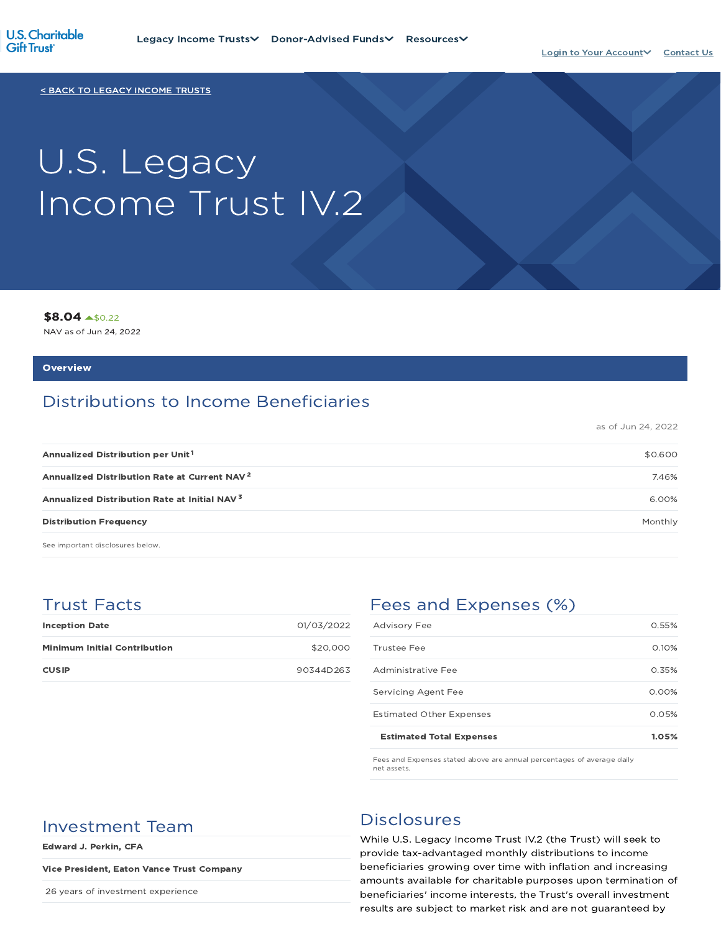

< BACK TO LEGACY INCOME TRUSTS

# U.S. Legacy Income Trust IV.2

\$8.04 \$0.22

NAV as of Jun 24, 2022

#### **Overview**

# Distributions to Income Beneficiaries

as of Jun 24, 2022

| Annualized Distribution per Unit <sup>1</sup>            | \$0.600 |
|----------------------------------------------------------|---------|
| Annualized Distribution Rate at Current NAV <sup>2</sup> | 7.46%   |
| Annualized Distribution Rate at Initial NAV <sup>3</sup> | 6.00%   |
| <b>Distribution Frequency</b>                            | Monthly |

See important disclosures below.

## Trust Facts

| <b>Inception Date</b>               | 01/03/2022 |
|-------------------------------------|------------|
| <b>Minimum Initial Contribution</b> | \$20,000   |
| <b>CUSIP</b>                        | 90344D263  |

# Fees and Expenses (%)

| <b>Estimated Total Expenses</b> | 1.05%    |
|---------------------------------|----------|
| <b>Estimated Other Expenses</b> | 0.05%    |
| Servicing Agent Fee             | $0.00\%$ |
| Administrative Fee              | 0.35%    |
| Trustee Fee                     | 0.10%    |
| <b>Advisory Fee</b>             | 0.55%    |

Fees and Expenses stated above are annual percentages of average daily net assets.

# Investment Team Disclosures

Edward J. Perkin, CFA

#### Vice President, Eaton Vance Trust Company

26 years of investment experience

While U.S. Legacy Income Trust IV.2 (the Trust) will seek to provide tax-advantaged monthly distributions to income beneficiaries growing over time with inflation and increasing amounts available for charitable purposes upon termination of beneficiaries' income interests, the Trust's overall investment results are subject to market risk and are not guaranteed by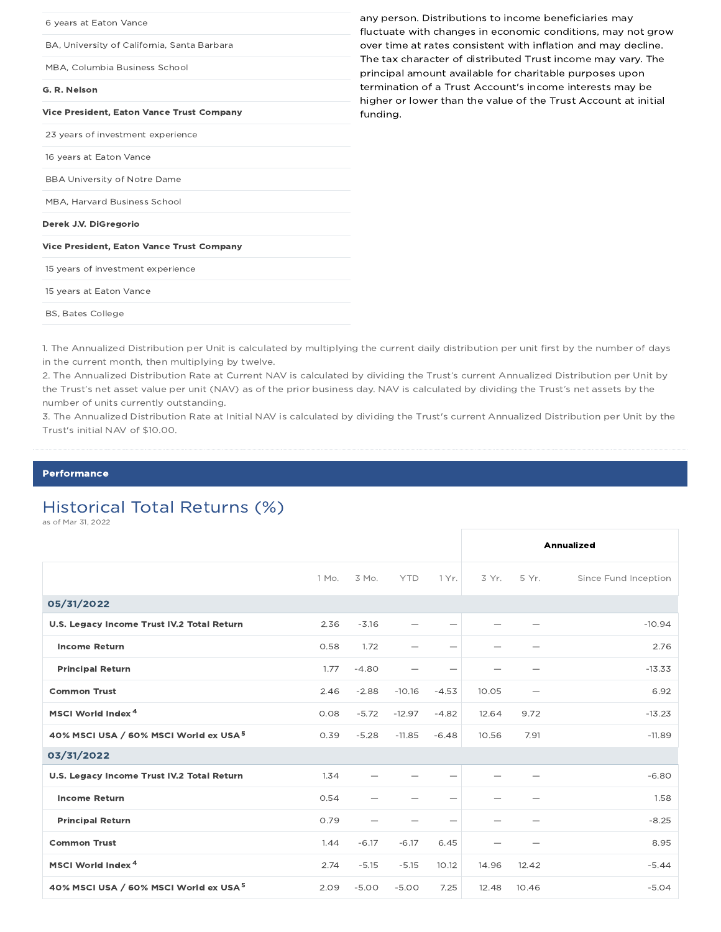| 6 years at Eaton Vance                           | any person. Distributions to income beneficiaries may<br>fluctuate with changes in economic conditions, may not grow       |
|--------------------------------------------------|----------------------------------------------------------------------------------------------------------------------------|
| BA, University of California, Santa Barbara      | over time at rates consistent with inflation and may decline.                                                              |
| MBA, Columbia Business School                    | The tax character of distributed Trust income may vary. The<br>principal amount available for charitable purposes upon     |
| G. R. Nelson                                     | termination of a Trust Account's income interests may be<br>higher or lower than the value of the Trust Account at initial |
| <b>Vice President, Eaton Vance Trust Company</b> | funding.                                                                                                                   |
| 23 years of investment experience                |                                                                                                                            |
| 16 years at Eaton Vance                          |                                                                                                                            |
| <b>BBA University of Notre Dame</b>              |                                                                                                                            |
| MBA, Harvard Business School                     |                                                                                                                            |
| Derek J.V. DiGregorio                            |                                                                                                                            |
| <b>Vice President, Eaton Vance Trust Company</b> |                                                                                                                            |
| 15 years of investment experience                |                                                                                                                            |
| 15 years at Eaton Vance                          |                                                                                                                            |
| <b>BS, Bates College</b>                         |                                                                                                                            |

1. The Annualized Distribution per Unit is calculated by multiplying the current daily distribution per unit first by the number of days in the current month, then multiplying by twelve.

2. The Annualized Distribution Rate at Current NAV is calculated by dividing the Trust's current Annualized Distribution per Unit by the Trust's net asset value per unit (NAV) as of the prior business day. NAV is calculated by dividing the Trust's net assets by the number of units currently outstanding.

3. The Annualized Distribution Rate at Initial NAV is calculated by dividing the Trust's current Annualized Distribution per Unit by the Trust's initial NAV of \$10.00.

#### Performance

# Historical Total Returns (%)

as of Mar 31, 2022

|                                                   |       |                          |            |                          | Annualized |       |                      |
|---------------------------------------------------|-------|--------------------------|------------|--------------------------|------------|-------|----------------------|
|                                                   | 1 Mo. | 3 Mo.                    | <b>YTD</b> | 1 Yr.                    | 3 Yr.      | 5 Yr. | Since Fund Inception |
| 05/31/2022                                        |       |                          |            |                          |            |       |                      |
| U.S. Legacy Income Trust IV.2 Total Return        | 2.36  | $-3.16$                  |            | $\overline{\phantom{0}}$ |            |       | $-10.94$             |
| <b>Income Return</b>                              | 0.58  | 1.72                     |            |                          |            |       | 2.76                 |
| <b>Principal Return</b>                           | 1.77  | $-4.80$                  |            |                          | -          |       | $-13.33$             |
| <b>Common Trust</b>                               | 2.46  | $-2.88$                  | $-10.16$   | $-4.53$                  | 10.05      |       | 6.92                 |
| MSCI World Index <sup>4</sup>                     | 0.08  | $-5.72$                  | $-12.97$   | $-4.82$                  | 12.64      | 9.72  | $-13.23$             |
| 40% MSCI USA / 60% MSCI World ex USA <sup>5</sup> | 0.39  | $-5.28$                  | $-11.85$   | $-6.48$                  | 10.56      | 7.91  | $-11.89$             |
| 03/31/2022                                        |       |                          |            |                          |            |       |                      |
| U.S. Legacy Income Trust IV.2 Total Return        | 1.34  |                          |            | $\overline{\phantom{m}}$ |            |       | $-6.80$              |
| <b>Income Return</b>                              | 0.54  |                          |            | $\overline{\phantom{0}}$ |            |       | 1.58                 |
| <b>Principal Return</b>                           | 0.79  | $\overline{\phantom{0}}$ |            |                          |            |       | $-8.25$              |
| <b>Common Trust</b>                               | 1.44  | $-6.17$                  | $-6.17$    | 6.45                     |            |       | 8.95                 |
| MSCI World Index <sup>4</sup>                     | 2.74  | $-5.15$                  | $-5.15$    | 10.12                    | 14.96      | 12.42 | $-5.44$              |
| 40% MSCI USA / 60% MSCI World ex USA <sup>5</sup> | 2.09  | $-5.00$                  | $-5.00$    | 7.25                     | 12.48      | 10.46 | $-5.04$              |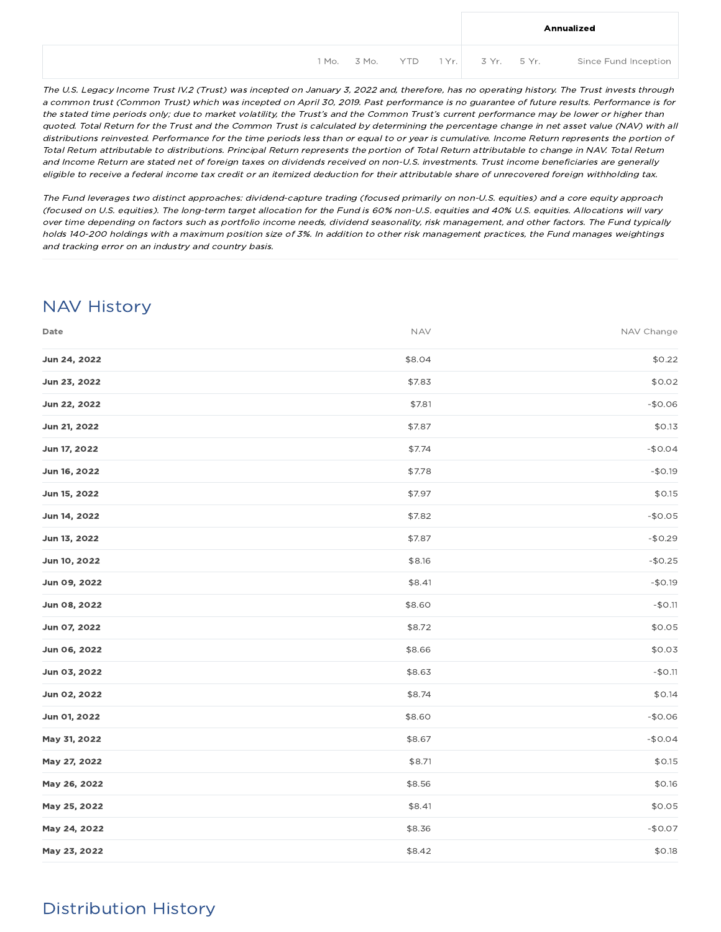|  |  |  | Annualized                                        |
|--|--|--|---------------------------------------------------|
|  |  |  | 1Mo. 3Mo. YTD 1Yr. 3Yr. 5Yr. Since Fund Inception |

The U.S. Legacy Income Trust IV.2 (Trust) was incepted on January 3, 2022 and, therefore, has no operating history. The Trust invests through <sup>a</sup> common trust (Common Trust) which was incepted on April 30, 2019. Past performance is no guarantee of future results. Performance is for the stated time periods only; due to market volatility, the Trust's and the Common Trust's current performance may be lower or higher than quoted. Total Return for the Trust and the Common Trust is calculated by determining the percentage change in net asset value (NAV) with all distributions reinvested. Performance for the time periods less than or equal to or year is cumulative. Income Return represents the portion of Total Return attributable to distributions. Principal Return represents the portion of Total Return attributable to change in NAV. Total Return and Income Return are stated net of foreign taxes on dividends received on non-U.S. investments. Trust income beneficiaries are generally eligible to receive <sup>a</sup> federal income tax credit or an itemized deduction for their attributable share of unrecovered foreign withholding tax.

The Fund leverages two distinct approaches: dividend-capture trading (focused primarily on non-U.S. equities) and <sup>a</sup> core equity approach (focused on U.S. equities). The long-term target allocation for the Fund is 60% non-U.S. equities and 40% U.S. equities. Allocations will vary over time depending on factors such as portfolio income needs, dividend seasonality, risk management, and other factors. The Fund typically holds 140-200 holdings with <sup>a</sup> maximum position size of 3%. In addition to other risk management practices, the Fund manages weightings and tracking error on an industry and country basis.

# NAV History

| Date         | <b>NAV</b> | NAV Change |
|--------------|------------|------------|
| Jun 24, 2022 | \$8.04     | \$0.22     |
| Jun 23, 2022 | \$7.83     | \$0.02     |
| Jun 22, 2022 | \$7.81     | $-$0.06$   |
| Jun 21, 2022 | \$7.87     | \$0.13     |
| Jun 17, 2022 | \$7.74     | $-$0.04$   |
| Jun 16, 2022 | \$7.78     | $-$0.19$   |
| Jun 15, 2022 | \$7.97     | \$0.15     |
| Jun 14, 2022 | \$7.82     | $-$0.05$   |
| Jun 13, 2022 | \$7.87     | $-$0.29$   |
| Jun 10, 2022 | \$8.16     | $-$0.25$   |
| Jun 09, 2022 | \$8.41     | $-$0.19$   |
| Jun 08, 2022 | \$8.60     | $-$0.11$   |
| Jun 07, 2022 | \$8.72     | \$0.05     |
| Jun 06, 2022 | \$8.66     | \$0.03     |
| Jun 03, 2022 | \$8.63     | $-$0.11$   |
| Jun 02, 2022 | \$8.74     | \$0.14     |
| Jun 01, 2022 | \$8.60     | $-$0.06$   |
| May 31, 2022 | \$8.67     | $-$0.04$   |
| May 27, 2022 | \$8.71     | \$0.15     |
| May 26, 2022 | \$8.56     | \$0.16     |
| May 25, 2022 | \$8.41     | \$0.05     |
| May 24, 2022 | \$8.36     | $-$0.07$   |
| May 23, 2022 | \$8.42     | \$0.18     |

# Distribution History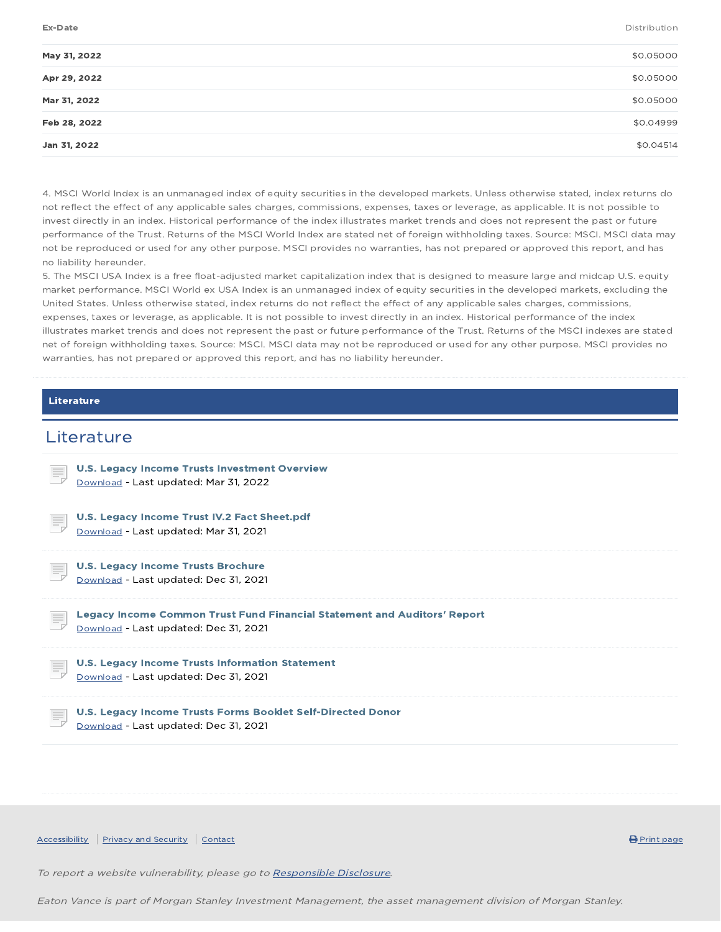Ex-Date Distribution

| \$0.05000 |
|-----------|
| \$0.05000 |
| \$0.05000 |
| \$0.04999 |
| \$0.04514 |
|           |

4. MSCI World Index is an unmanaged index of equity securities in the developed markets. Unless otherwise stated, index returns do not reflect the effect of any applicable sales charges, commissions, expenses, taxes or leverage, as applicable. It is not possible to invest directly in an index. Historical performance of the index illustrates market trends and does not represent the past or future performance of the Trust. Returns of the MSCI World Index are stated net of foreign withholding taxes. Source: MSCI. MSCI data may not be reproduced or used for any other purpose. MSCI provides no warranties, has not prepared or approved this report, and has no liability hereunder.

5. The MSCI USA Index is a free float-adjusted market capitalization index that is designed to measure large and midcap U.S. equity market performance. MSCI World ex USA Index is an unmanaged index of equity securities in the developed markets, excluding the United States. Unless otherwise stated, index returns do not reflect the effect of any applicable sales charges, commissions, expenses, taxes or leverage, as applicable. It is not possible to invest directly in an index. Historical performance of the index illustrates market trends and does not represent the past or future performance of the Trust. Returns of the MSCI indexes are stated net of foreign withholding taxes. Source: MSCI. MSCI data may not be reproduced or used for any other purpose. MSCI provides no warranties, has not prepared or approved this report, and has no liability hereunder.

#### Literature

### **Literature**



To report a website vulnerability, please go to Responsible Disclosure.